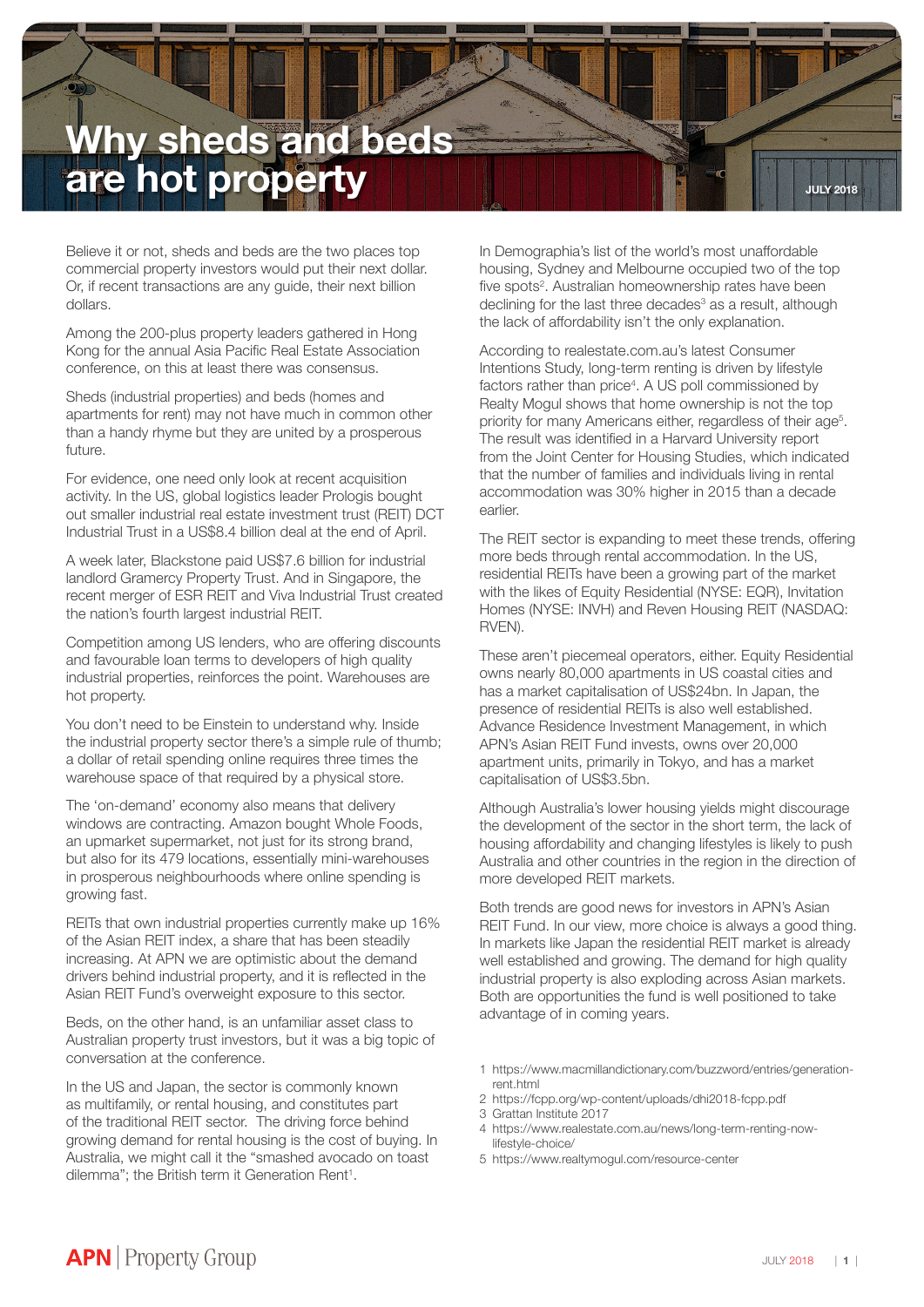

Believe it or not, sheds and beds are the two places top commercial property investors would put their next dollar. Or, if recent transactions are any guide, their next billion dollars.

Among the 200-plus property leaders gathered in Hong Kong for the annual Asia Pacific Real Estate Association conference, on this at least there was consensus.

Sheds (industrial properties) and beds (homes and apartments for rent) may not have much in common other than a handy rhyme but they are united by a prosperous future.

For evidence, one need only look at recent acquisition activity. In the US, global logistics leader Prologis bought out smaller industrial real estate investment trust (REIT) DCT Industrial Trust in a US\$8.4 billion deal at the end of April.

A week later, Blackstone paid US\$7.6 billion for industrial landlord Gramercy Property Trust. And in Singapore, the recent merger of ESR REIT and Viva Industrial Trust created the nation's fourth largest industrial REIT.

Competition among US lenders, who are offering discounts and favourable loan terms to developers of high quality industrial properties, reinforces the point. Warehouses are hot property.

You don't need to be Einstein to understand why. Inside the industrial property sector there's a simple rule of thumb; a dollar of retail spending online requires three times the warehouse space of that required by a physical store.

The 'on-demand' economy also means that delivery windows are contracting. Amazon bought Whole Foods, an upmarket supermarket, not just for its strong brand, but also for its 479 locations, essentially mini-warehouses in prosperous neighbourhoods where online spending is growing fast.

REITs that own industrial properties currently make up 16% of the Asian REIT index, a share that has been steadily increasing. At APN we are optimistic about the demand drivers behind industrial property, and it is reflected in the Asian REIT Fund's overweight exposure to this sector.

Beds, on the other hand, is an unfamiliar asset class to Australian property trust investors, but it was a big topic of conversation at the conference.

In the US and Japan, the sector is commonly known as multifamily, or rental housing, and constitutes part of the traditional REIT sector. The driving force behind growing demand for rental housing is the cost of buying. In Australia, we might call it the "smashed avocado on toast dilemma"; the British term it Generation Rent<sup>1</sup>.

In Demographia's list of the world's most unaffordable housing, Sydney and Melbourne occupied two of the top five spots<sup>2</sup>. Australian homeownership rates have been declining for the last three decades<sup>3</sup> as a result, although the lack of affordability isn't the only explanation.

According to realestate.com.au's latest Consumer Intentions Study, long-term renting is driven by lifestyle factors rather than price<sup>4</sup>. A US poll commissioned by Realty Mogul shows that home ownership is not the top priority for many Americans either, regardless of their age<sup>5</sup>. The result was identified in a Harvard University report from the Joint Center for Housing Studies, which indicated that the number of families and individuals living in rental accommodation was 30% higher in 2015 than a decade earlier.

The REIT sector is expanding to meet these trends, offering more beds through rental accommodation. In the US, residential REITs have been a growing part of the market with the likes of Equity Residential (NYSE: EQR), Invitation Homes (NYSE: INVH) and Reven Housing REIT (NASDAQ: RVEN).

These aren't piecemeal operators, either. Equity Residential owns nearly 80,000 apartments in US coastal cities and has a market capitalisation of US\$24bn. In Japan, the presence of residential REITs is also well established. Advance Residence Investment Management, in which APN's Asian REIT Fund invests, owns over 20,000 apartment units, primarily in Tokyo, and has a market capitalisation of US\$3.5bn.

Although Australia's lower housing yields might discourage the development of the sector in the short term, the lack of housing affordability and changing lifestyles is likely to push Australia and other countries in the region in the direction of more developed REIT markets.

Both trends are good news for investors in APN's Asian REIT Fund. In our view, more choice is always a good thing. In markets like Japan the residential REIT market is already well established and growing. The demand for high quality industrial property is also exploding across Asian markets. Both are opportunities the fund is well positioned to take advantage of in coming years.

- 2 https://fcpp.org/wp-content/uploads/dhi2018-fcpp.pdf
- 3 Grattan Institute 2017
- 4 https://www.realestate.com.au/news/long-term-renting-nowlifestyle-choice/
- 5 https://www.realtymogul.com/resource-center

<sup>1</sup> https://www.macmillandictionary.com/buzzword/entries/generationrent.html